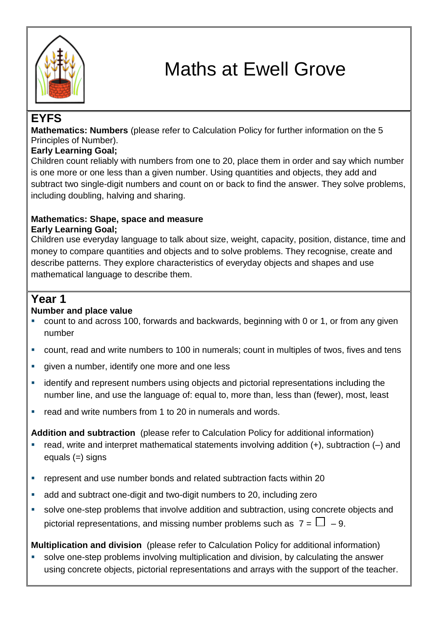

# Maths at Ewell Grove

# **EYFS**

**Mathematics: Numbers** (please refer to Calculation Policy for further information on the 5 Principles of Number).

## **Early Learning Goal;**

Children count reliably with numbers from one to 20, place them in order and say which number is one more or one less than a given number. Using quantities and objects, they add and subtract two single-digit numbers and count on or back to find the answer. They solve problems, including doubling, halving and sharing.

#### **Mathematics: Shape, space and measure Early Learning Goal;**

Children use everyday language to talk about size, weight, capacity, position, distance, time and money to compare quantities and objects and to solve problems. They recognise, create and describe patterns. They explore characteristics of everyday objects and shapes and use mathematical language to describe them.

# **Year 1**

## **Number and place value**

- count to and across 100, forwards and backwards, beginning with 0 or 1, or from any given number
- count, read and write numbers to 100 in numerals; count in multiples of twos, fives and tens
- qiven a number, identify one more and one less
- identify and represent numbers using objects and pictorial representations including the number line, and use the language of: equal to, more than, less than (fewer), most, least
- **F** read and write numbers from 1 to 20 in numerals and words.

**Addition and subtraction** (please refer to Calculation Policy for additional information)

- read, write and interpret mathematical statements involving addition  $(+)$ , subtraction  $(-)$  and equals (=) signs
- represent and use number bonds and related subtraction facts within 20
- add and subtract one-digit and two-digit numbers to 20, including zero
- solve one-step problems that involve addition and subtraction, using concrete objects and pictorial representations, and missing number problems such as  $7 = \Box - 9$ .

**Multiplication and division** (please refer to Calculation Policy for additional information)

 solve one-step problems involving multiplication and division, by calculating the answer using concrete objects, pictorial representations and arrays with the support of the teacher.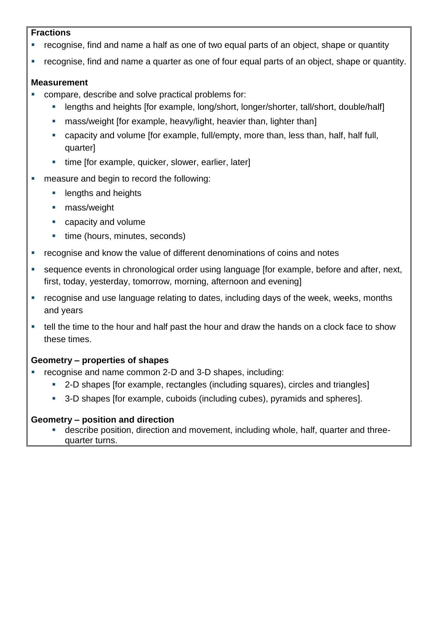#### **Fractions**

- recognise, find and name a half as one of two equal parts of an object, shape or quantity
- recognise, find and name a quarter as one of four equal parts of an object, shape or quantity.

## **Measurement**

- compare, describe and solve practical problems for:
	- lengths and heights [for example, long/short, longer/shorter, tall/short, double/half]
	- **EXECT** mass/weight [for example, heavy/light, heavier than, lighter than]
	- capacity and volume [for example, full/empty, more than, less than, half, half full, quarter]
	- time [for example, quicker, slower, earlier, later]
- **measure and begin to record the following:** 
	- **Example 1** lengths and heights
	- **mass/weight**
	- **Exercise Capacity and volume**
	- time (hours, minutes, seconds)
- **•** recognise and know the value of different denominations of coins and notes
- sequence events in chronological order using language [for example, before and after, next, first, today, yesterday, tomorrow, morning, afternoon and evening]
- **•** recognise and use language relating to dates, including days of the week, weeks, months and years
- tell the time to the hour and half past the hour and draw the hands on a clock face to show these times.

## **Geometry – properties of shapes**

- recognise and name common 2-D and 3-D shapes, including:
	- 2-D shapes [for example, rectangles (including squares), circles and triangles]
	- <sup>3</sup> 3-D shapes [for example, cuboids (including cubes), pyramids and spheres].

## **Geometry – position and direction**

 describe position, direction and movement, including whole, half, quarter and threequarter turns.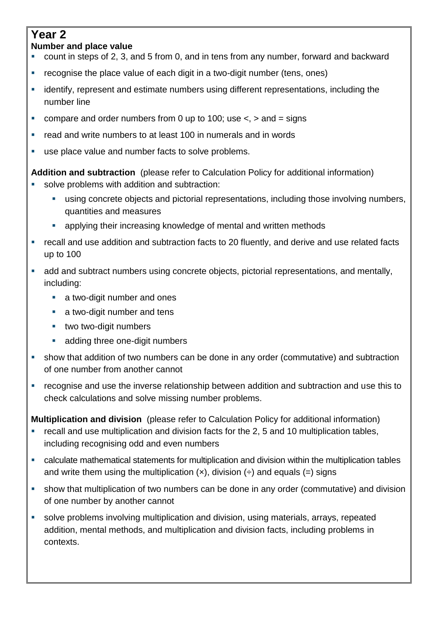## **Year 2 Number and place value**

- count in steps of 2, 3, and 5 from 0, and in tens from any number, forward and backward
- **•** recognise the place value of each digit in a two-digit number (tens, ones)
- **EXECT** identify, represent and estimate numbers using different representations, including the number line
- compare and order numbers from 0 up to 100; use  $\lt$ ,  $>$  and  $=$  signs
- read and write numbers to at least 100 in numerals and in words
- use place value and number facts to solve problems.

**Addition and subtraction** (please refer to Calculation Policy for additional information)

- solve problems with addition and subtraction:
	- using concrete objects and pictorial representations, including those involving numbers, quantities and measures
	- applying their increasing knowledge of mental and written methods
- recall and use addition and subtraction facts to 20 fluently, and derive and use related facts up to 100
- add and subtract numbers using concrete objects, pictorial representations, and mentally, including:
	- **a** two-digit number and ones
	- **a** two-digit number and tens
	- **two two-digit numbers**
	- **adding three one-digit numbers**
- show that addition of two numbers can be done in any order (commutative) and subtraction of one number from another cannot
- recognise and use the inverse relationship between addition and subtraction and use this to check calculations and solve missing number problems.

**Multiplication and division** (please refer to Calculation Policy for additional information)

- recall and use multiplication and division facts for the 2, 5 and 10 multiplication tables, including recognising odd and even numbers
- calculate mathematical statements for multiplication and division within the multiplication tables and write them using the multiplication  $(x)$ , division  $(\div)$  and equals  $(=)$  signs
- show that multiplication of two numbers can be done in any order (commutative) and division of one number by another cannot
- solve problems involving multiplication and division, using materials, arrays, repeated addition, mental methods, and multiplication and division facts, including problems in contexts.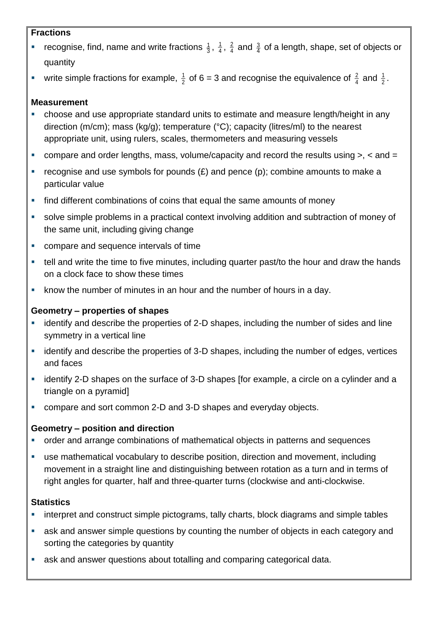#### **Fractions**

- **•** recognise, find, name and write fractions  $\frac{1}{3}$ ,  $\frac{1}{4}$  $\frac{1}{4}$ ,  $\frac{2}{4}$  $\frac{2}{4}$  and  $\frac{3}{4}$  of a length, shape, set of objects or quantity
- write simple fractions for example,  $\frac{1}{2}$  $\frac{1}{2}$  of 6 = 3 and recognise the equivalence of  $\frac{2}{4}$  $\frac{2}{4}$  and  $\frac{1}{2}$  $\frac{1}{2}$  .

## **Measurement**

- choose and use appropriate standard units to estimate and measure length/height in any direction (m/cm); mass (kg/g); temperature (°C); capacity (litres/ml) to the nearest appropriate unit, using rulers, scales, thermometers and measuring vessels
- compare and order lengths, mass, volume/capacity and record the results using >, < and =
- recognise and use symbols for pounds  $(E)$  and pence  $(p)$ ; combine amounts to make a particular value
- **find different combinations of coins that equal the same amounts of money**
- solve simple problems in a practical context involving addition and subtraction of money of the same unit, including giving change
- **EXECOMPARE AND SECULARE COMPARE AND SEQUENCE INTERFACE SET**
- tell and write the time to five minutes, including quarter past/to the hour and draw the hands on a clock face to show these times
- know the number of minutes in an hour and the number of hours in a day.

## **Geometry – properties of shapes**

- identify and describe the properties of 2-D shapes, including the number of sides and line symmetry in a vertical line
- **EXEDENT** identify and describe the properties of 3-D shapes, including the number of edges, vertices and faces
- identify 2-D shapes on the surface of 3-D shapes [for example, a circle on a cylinder and a triangle on a pyramid]
- compare and sort common 2-D and 3-D shapes and everyday objects.

## **Geometry – position and direction**

- **•** order and arrange combinations of mathematical objects in patterns and sequences
- use mathematical vocabulary to describe position, direction and movement, including movement in a straight line and distinguishing between rotation as a turn and in terms of right angles for quarter, half and three-quarter turns (clockwise and anti-clockwise.

## **Statistics**

- **EXTERN** interpret and construct simple pictograms, tally charts, block diagrams and simple tables
- **a** ask and answer simple questions by counting the number of objects in each category and sorting the categories by quantity
- ask and answer questions about totalling and comparing categorical data.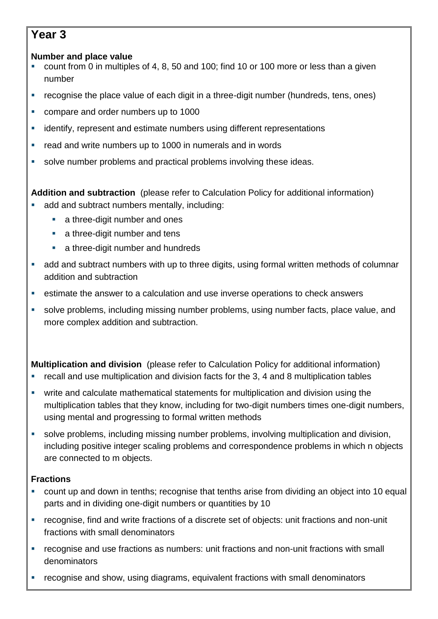# **Year 3**

## **Number and place value**

- count from 0 in multiples of 4, 8, 50 and 100; find 10 or 100 more or less than a given number
- recognise the place value of each digit in a three-digit number (hundreds, tens, ones)
- **compare and order numbers up to 1000**
- **EXECTE identify, represent and estimate numbers using different representations**
- **•** read and write numbers up to 1000 in numerals and in words
- solve number problems and practical problems involving these ideas.

**Addition and subtraction** (please refer to Calculation Policy for additional information)

- add and subtract numbers mentally, including:
	- **a** three-digit number and ones
	- **a** three-digit number and tens
	- **a** three-digit number and hundreds
- add and subtract numbers with up to three digits, using formal written methods of columnar addition and subtraction
- estimate the answer to a calculation and use inverse operations to check answers
- solve problems, including missing number problems, using number facts, place value, and more complex addition and subtraction.

**Multiplication and division** (please refer to Calculation Policy for additional information)

- recall and use multiplication and division facts for the 3, 4 and 8 multiplication tables
- write and calculate mathematical statements for multiplication and division using the multiplication tables that they know, including for two-digit numbers times one-digit numbers, using mental and progressing to formal written methods
- solve problems, including missing number problems, involving multiplication and division, including positive integer scaling problems and correspondence problems in which n objects are connected to m objects.

## **Fractions**

- count up and down in tenths; recognise that tenths arise from dividing an object into 10 equal parts and in dividing one-digit numbers or quantities by 10
- recognise, find and write fractions of a discrete set of objects: unit fractions and non-unit fractions with small denominators
- recognise and use fractions as numbers: unit fractions and non-unit fractions with small denominators
- recognise and show, using diagrams, equivalent fractions with small denominators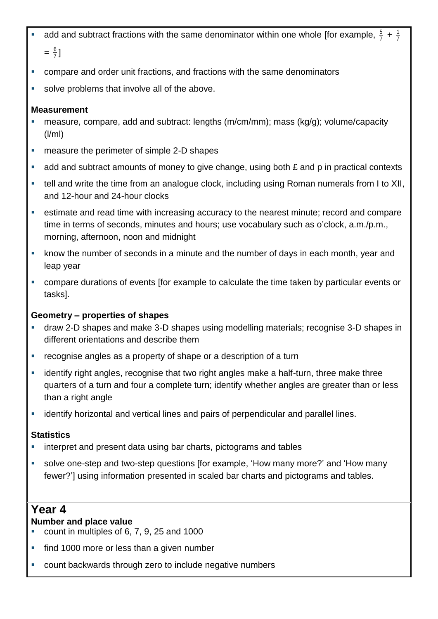- add and subtract fractions with the same denominator within one whole [for example,  $\frac{5}{7}$ ]  $\frac{5}{7}$  +  $\frac{1}{7}$ 1  $=\frac{6}{7}$  $\frac{6}{7}$  ]
- compare and order unit fractions, and fractions with the same denominators
- solve problems that involve all of the above.

- measure, compare, add and subtract: lengths (m/cm/mm); mass (kg/g); volume/capacity (l/ml)
- **EXECUTE:** measure the perimeter of simple 2-D shapes
- add and subtract amounts of money to give change, using both  $E$  and  $p$  in practical contexts
- tell and write the time from an analogue clock, including using Roman numerals from I to XII, and 12-hour and 24-hour clocks
- estimate and read time with increasing accuracy to the nearest minute; record and compare time in terms of seconds, minutes and hours; use vocabulary such as o'clock, a.m./p.m., morning, afternoon, noon and midnight
- know the number of seconds in a minute and the number of days in each month, year and leap year
- compare durations of events [for example to calculate the time taken by particular events or tasks].

## **Geometry – properties of shapes**

- draw 2-D shapes and make 3-D shapes using modelling materials; recognise 3-D shapes in different orientations and describe them
- **•** recognise angles as a property of shape or a description of a turn
- **EXT** identify right angles, recognise that two right angles make a half-turn, three make three quarters of a turn and four a complete turn; identify whether angles are greater than or less than a right angle
- **EXECT** identify horizontal and vertical lines and pairs of perpendicular and parallel lines.

## **Statistics**

- **EXTERN** interpret and present data using bar charts, pictograms and tables
- solve one-step and two-step questions [for example, 'How many more?' and 'How many fewer?'] using information presented in scaled bar charts and pictograms and tables.

## **Year 4**

## **Number and place value**

- count in multiples of 6, 7, 9, 25 and 1000
- **find 1000 more or less than a given number**
- count backwards through zero to include negative numbers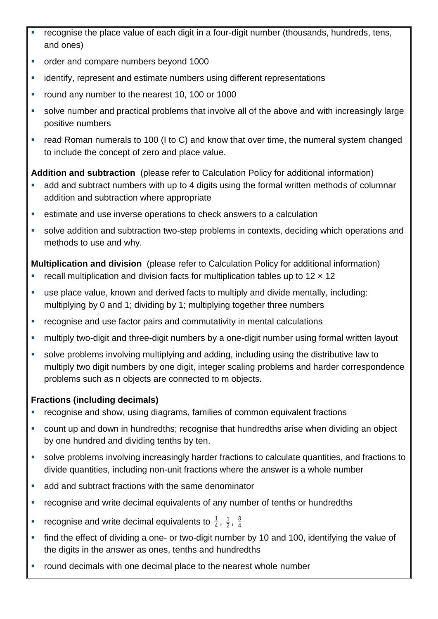- recognise the place value of each digit in a four-digit number (thousands, hundreds, tens, and ones)
- order and compare numbers beyond 1000
- identify, represent and estimate numbers using different representations
- **•** round any number to the nearest 10, 100 or 1000
- solve number and practical problems that involve all of the above and with increasingly large positive numbers
- read Roman numerals to 100 (I to C) and know that over time, the numeral system changed to include the concept of zero and place value.

**Addition and subtraction** (please refer to Calculation Policy for additional information)

- add and subtract numbers with up to 4 digits using the formal written methods of columnar addition and subtraction where appropriate
- estimate and use inverse operations to check answers to a calculation
- solve addition and subtraction two-step problems in contexts, deciding which operations and methods to use and why.

**Multiplication and division** (please refer to Calculation Policy for additional information)

- recall multiplication and division facts for multiplication tables up to  $12 \times 12$
- use place value, known and derived facts to multiply and divide mentally, including: multiplying by 0 and 1; dividing by 1; multiplying together three numbers
- recognise and use factor pairs and commutativity in mental calculations
- **•** multiply two-digit and three-digit numbers by a one-digit number using formal written layout
- solve problems involving multiplying and adding, including using the distributive law to multiply two digit numbers by one digit, integer scaling problems and harder correspondence problems such as n objects are connected to m objects.

## **Fractions (including decimals)**

- **•** recognise and show, using diagrams, families of common equivalent fractions
- count up and down in hundredths; recognise that hundredths arise when dividing an object by one hundred and dividing tenths by ten.
- solve problems involving increasingly harder fractions to calculate quantities, and fractions to divide quantities, including non-unit fractions where the answer is a whole number
- add and subtract fractions with the same denominator
- recognise and write decimal equivalents of any number of tenths or hundredths
- **•** recognise and write decimal equivalents to  $\frac{1}{4}$  $\frac{1}{4}$ ,  $\frac{1}{2}$ ,  $\frac{3}{4}$ 3
- find the effect of dividing a one- or two-digit number by 10 and 100, identifying the value of the digits in the answer as ones, tenths and hundredths
- **•** round decimals with one decimal place to the nearest whole number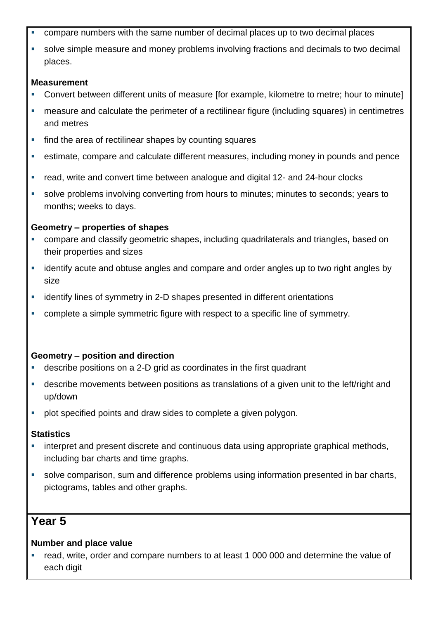- compare numbers with the same number of decimal places up to two decimal places
- solve simple measure and money problems involving fractions and decimals to two decimal places.

- Convert between different units of measure [for example, kilometre to metre; hour to minute]
- measure and calculate the perimeter of a rectilinear figure (including squares) in centimetres and metres
- find the area of rectilinear shapes by counting squares
- estimate, compare and calculate different measures, including money in pounds and pence
- read, write and convert time between analogue and digital 12- and 24-hour clocks
- solve problems involving converting from hours to minutes; minutes to seconds; years to months; weeks to days.

## **Geometry – properties of shapes**

- compare and classify geometric shapes, including quadrilaterals and triangles**,** based on their properties and sizes
- identify acute and obtuse angles and compare and order angles up to two right angles by size
- **EXECT** identify lines of symmetry in 2-D shapes presented in different orientations
- complete a simple symmetric figure with respect to a specific line of symmetry.

## **Geometry – position and direction**

- describe positions on a 2-D grid as coordinates in the first quadrant
- describe movements between positions as translations of a given unit to the left/right and up/down
- **•** plot specified points and draw sides to complete a given polygon.

## **Statistics**

- interpret and present discrete and continuous data using appropriate graphical methods, including bar charts and time graphs.
- solve comparison, sum and difference problems using information presented in bar charts, pictograms, tables and other graphs.

# **Year 5**

## **Number and place value**

 read, write, order and compare numbers to at least 1 000 000 and determine the value of each digit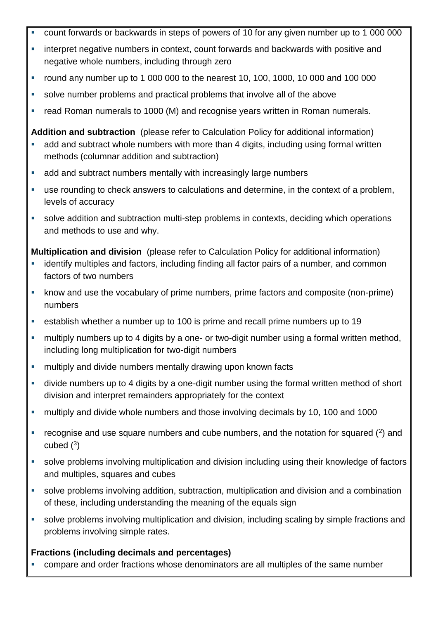- count forwards or backwards in steps of powers of 10 for any given number up to 1 000 000
- **EXTERT** interpret negative numbers in context, count forwards and backwards with positive and negative whole numbers, including through zero
- round any number up to 1 000 000 to the nearest 10, 100, 1000, 10 000 and 100 000
- solve number problems and practical problems that involve all of the above
- read Roman numerals to 1000 (M) and recognise years written in Roman numerals.

**Addition and subtraction** (please refer to Calculation Policy for additional information)

- **add and subtract whole numbers with more than 4 digits, including using formal written** methods (columnar addition and subtraction)
- add and subtract numbers mentally with increasingly large numbers
- use rounding to check answers to calculations and determine, in the context of a problem, levels of accuracy
- solve addition and subtraction multi-step problems in contexts, deciding which operations and methods to use and why.

**Multiplication and division** (please refer to Calculation Policy for additional information)

- identify multiples and factors, including finding all factor pairs of a number, and common factors of two numbers
- know and use the vocabulary of prime numbers, prime factors and composite (non-prime) numbers
- establish whether a number up to 100 is prime and recall prime numbers up to 19
- multiply numbers up to 4 digits by a one- or two-digit number using a formal written method, including long multiplication for two-digit numbers
- **EXECT** multiply and divide numbers mentally drawing upon known facts
- divide numbers up to 4 digits by a one-digit number using the formal written method of short division and interpret remainders appropriately for the context
- multiply and divide whole numbers and those involving decimals by 10, 100 and 1000
- $\blacksquare$  recognise and use square numbers and cube numbers, and the notation for squared ( $\sp{2}$ ) and cubed  $(^3)$
- solve problems involving multiplication and division including using their knowledge of factors and multiples, squares and cubes
- solve problems involving addition, subtraction, multiplication and division and a combination of these, including understanding the meaning of the equals sign
- solve problems involving multiplication and division, including scaling by simple fractions and problems involving simple rates.

## **Fractions (including decimals and percentages)**

compare and order fractions whose denominators are all multiples of the same number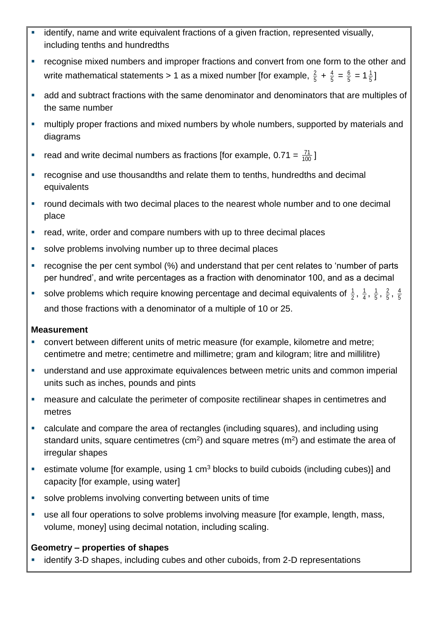- identify, name and write equivalent fractions of a given fraction, represented visually, including tenths and hundredths
- **•** recognise mixed numbers and improper fractions and convert from one form to the other and write mathematical statements > 1 as a mixed number [for example,  $\frac{2}{5}$  $rac{2}{5} + \frac{4}{5}$  $\frac{4}{5} = \frac{6}{5}$  $\frac{6}{5}$  = 1 $\frac{1}{5}$  $\frac{1}{5}$  ]
- add and subtract fractions with the same denominator and denominators that are multiples of the same number
- **nultiply proper fractions and mixed numbers by whole numbers, supported by materials and** diagrams
- read and write decimal numbers as fractions [for example,  $0.71 = \frac{71}{100}$  $\frac{71}{00}$  ]
- recognise and use thousandths and relate them to tenths, hundredths and decimal equivalents
- **•** round decimals with two decimal places to the nearest whole number and to one decimal place
- read, write, order and compare numbers with up to three decimal places
- solve problems involving number up to three decimal places
- recognise the per cent symbol (%) and understand that per cent relates to 'number of parts per hundred', and write percentages as a fraction with denominator 100, and as a decimal
- solve problems which require knowing percentage and decimal equivalents of  $\frac{1}{2}$  $\frac{1}{2}$ ,  $\frac{1}{4}$  $\frac{1}{4}$ ,  $\frac{1}{5}$  $\frac{1}{5}$ ,  $\frac{2}{5}$  $\frac{2}{5}$ ,  $\frac{4}{5}$ 4 and those fractions with a denominator of a multiple of 10 or 25.

- convert between different units of metric measure (for example, kilometre and metre; centimetre and metre; centimetre and millimetre; gram and kilogram; litre and millilitre)
- understand and use approximate equivalences between metric units and common imperial units such as inches, pounds and pints
- measure and calculate the perimeter of composite rectilinear shapes in centimetres and metres
- calculate and compare the area of rectangles (including squares), and including using standard units, square centimetres (cm<sup>2</sup>) and square metres (m<sup>2</sup>) and estimate the area of irregular shapes
- estimate volume [for example, using 1  $cm<sup>3</sup>$  blocks to build cuboids (including cubes)] and capacity [for example, using water]
- solve problems involving converting between units of time
- use all four operations to solve problems involving measure [for example, length, mass, volume, money] using decimal notation, including scaling.

## **Geometry – properties of shapes**

identify 3-D shapes, including cubes and other cuboids, from 2-D representations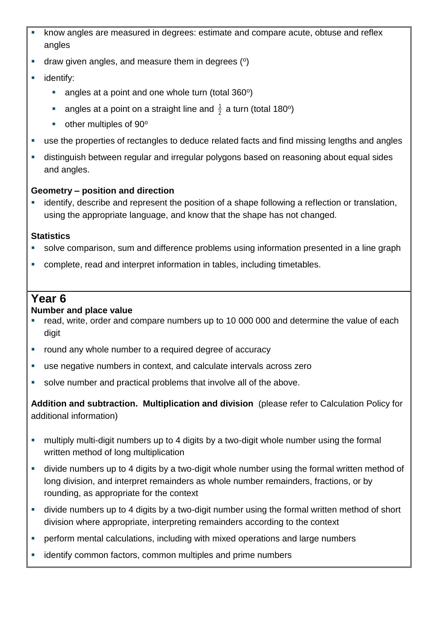- know angles are measured in degrees: estimate and compare acute, obtuse and reflex angles
- $\blacksquare$  draw given angles, and measure them in degrees ( $\lozenge$ )
- **identify:** 
	- $\blacksquare$  angles at a point and one whole turn (total 360 $^{\circ}$ )
	- **angles at a point on a straight line and**  $\frac{1}{2}$  $\frac{1}{2}$  a turn (total 180º)
	- $\blacksquare$  other multiples of 90 $\rm ^o$
- use the properties of rectangles to deduce related facts and find missing lengths and angles
- distinguish between regular and irregular polygons based on reasoning about equal sides and angles.

## **Geometry – position and direction**

 identify, describe and represent the position of a shape following a reflection or translation, using the appropriate language, and know that the shape has not changed.

## **Statistics**

- solve comparison, sum and difference problems using information presented in a line graph
- complete, read and interpret information in tables, including timetables.

## **Year 6**

## **Number and place value**

- read, write, order and compare numbers up to 10 000 000 and determine the value of each digit
- **round any whole number to a required degree of accuracy**
- use negative numbers in context, and calculate intervals across zero
- solve number and practical problems that involve all of the above.

**Addition and subtraction. Multiplication and division** (please refer to Calculation Policy for additional information)

- multiply multi-digit numbers up to 4 digits by a two-digit whole number using the formal written method of long multiplication
- divide numbers up to 4 digits by a two-digit whole number using the formal written method of long division, and interpret remainders as whole number remainders, fractions, or by rounding, as appropriate for the context
- divide numbers up to 4 digits by a two-digit number using the formal written method of short division where appropriate, interpreting remainders according to the context
- **•** perform mental calculations, including with mixed operations and large numbers
- identify common factors, common multiples and prime numbers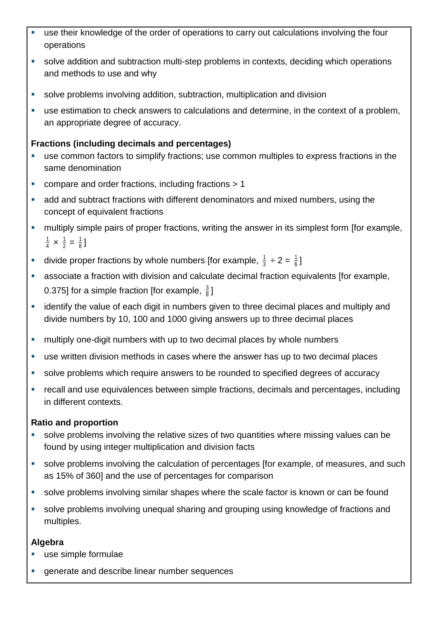- use their knowledge of the order of operations to carry out calculations involving the four operations
- solve addition and subtraction multi-step problems in contexts, deciding which operations and methods to use and why
- solve problems involving addition, subtraction, multiplication and division
- use estimation to check answers to calculations and determine, in the context of a problem, an appropriate degree of accuracy.

## **Fractions (including decimals and percentages)**

- use common factors to simplify fractions; use common multiples to express fractions in the same denomination
- compare and order fractions, including fractions > 1
- add and subtract fractions with different denominators and mixed numbers, using the concept of equivalent fractions
- **EXECT** multiply simple pairs of proper fractions, writing the answer in its simplest form [for example, 4  $\frac{1}{4} \times \frac{1}{2}$  $\frac{1}{2} = \frac{1}{8}$  $\frac{1}{8}$ ]
- **divide proper fractions by whole numbers [for example,**  $\frac{1}{3}$  $\frac{1}{3} \div 2 = \frac{1}{6}$  $\frac{1}{6}$  ]
- associate a fraction with division and calculate decimal fraction equivalents [for example, 0.375] for a simple fraction [for example,  $\frac{3}{8}$  $\frac{3}{8}$ ]
- **EXT** identify the value of each digit in numbers given to three decimal places and multiply and divide numbers by 10, 100 and 1000 giving answers up to three decimal places
- **EXECT** multiply one-digit numbers with up to two decimal places by whole numbers
- use written division methods in cases where the answer has up to two decimal places
- solve problems which require answers to be rounded to specified degrees of accuracy
- recall and use equivalences between simple fractions, decimals and percentages, including in different contexts.

## **Ratio and proportion**

- solve problems involving the relative sizes of two quantities where missing values can be found by using integer multiplication and division facts
- solve problems involving the calculation of percentages [for example, of measures, and such as 15% of 360] and the use of percentages for comparison
- solve problems involving similar shapes where the scale factor is known or can be found
- solve problems involving unequal sharing and grouping using knowledge of fractions and multiples.

## **Algebra**

- use simple formulae
- generate and describe linear number sequences